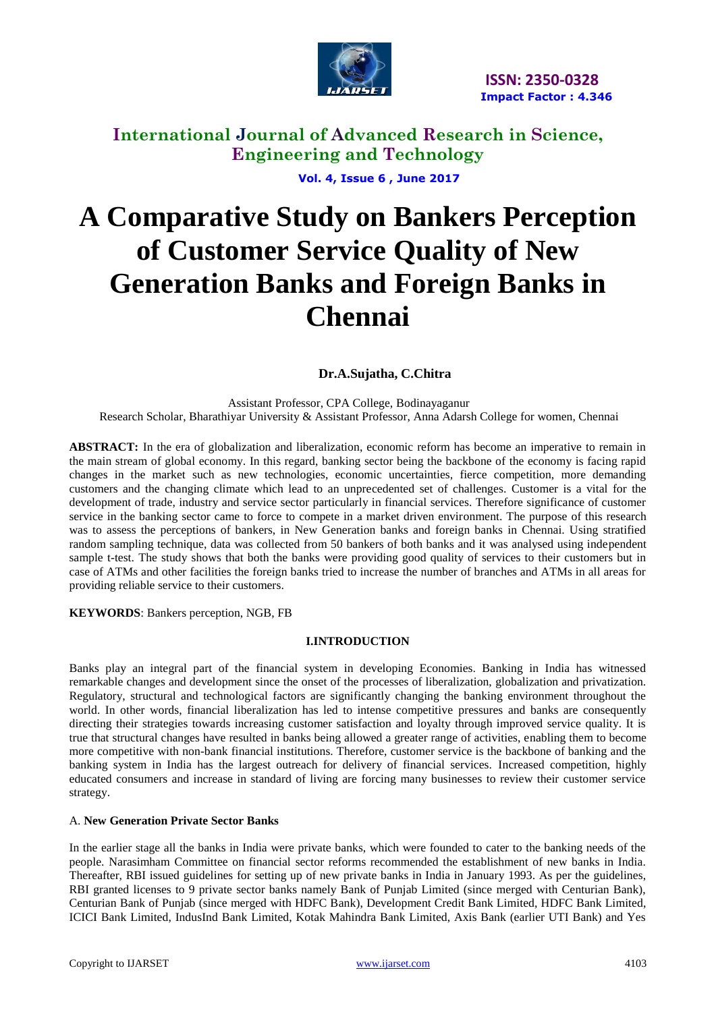

 **Vol. 4, Issue 6 , June 2017** 

# **A Comparative Study on Bankers Perception of Customer Service Quality of New Generation Banks and Foreign Banks in Chennai**

 **Dr.A.Sujatha, C.Chitra**

Assistant Professor, CPA College, Bodinayaganur Research Scholar, Bharathiyar University & Assistant Professor, Anna Adarsh College for women, Chennai

**ABSTRACT:** In the era of globalization and liberalization, economic reform has become an imperative to remain in the main stream of global economy. In this regard, banking sector being the backbone of the economy is facing rapid changes in the market such as new technologies, economic uncertainties, fierce competition, more demanding customers and the changing climate which lead to an unprecedented set of challenges. Customer is a vital for the development of trade, industry and service sector particularly in financial services. Therefore significance of customer service in the banking sector came to force to compete in a market driven environment. The purpose of this research was to assess the perceptions of bankers, in New Generation banks and foreign banks in Chennai. Using stratified random sampling technique, data was collected from 50 bankers of both banks and it was analysed using independent sample t-test. The study shows that both the banks were providing good quality of services to their customers but in case of ATMs and other facilities the foreign banks tried to increase the number of branches and ATMs in all areas for providing reliable service to their customers.

**KEYWORDS**: Bankers perception, NGB, FB

#### **I.INTRODUCTION**

Banks play an integral part of the financial system in developing Economies. Banking in India has witnessed remarkable changes and development since the onset of the processes of liberalization, globalization and privatization. Regulatory, structural and technological factors are significantly changing the banking environment throughout the world. In other words, financial liberalization has led to intense competitive pressures and banks are consequently directing their strategies towards increasing customer satisfaction and loyalty through improved service quality. It is true that structural changes have resulted in banks being allowed a greater range of activities, enabling them to become more competitive with non-bank financial institutions. Therefore, customer service is the backbone of banking and the banking system in India has the largest outreach for delivery of financial services. Increased competition, highly educated consumers and increase in standard of living are forcing many businesses to review their customer service strategy.

#### A. **New Generation Private Sector Banks**

In the earlier stage all the banks in India were private banks, which were founded to cater to the banking needs of the people. Narasimham Committee on financial sector reforms recommended the establishment of new banks in India. Thereafter, RBI issued guidelines for setting up of new private banks in India in January 1993. As per the guidelines, RBI granted licenses to 9 private sector banks namely Bank of Punjab Limited (since merged with Centurian Bank), Centurian Bank of Punjab (since merged with HDFC Bank), Development Credit Bank Limited, HDFC Bank Limited, ICICI Bank Limited, IndusInd Bank Limited, Kotak Mahindra Bank Limited, Axis Bank (earlier UTI Bank) and Yes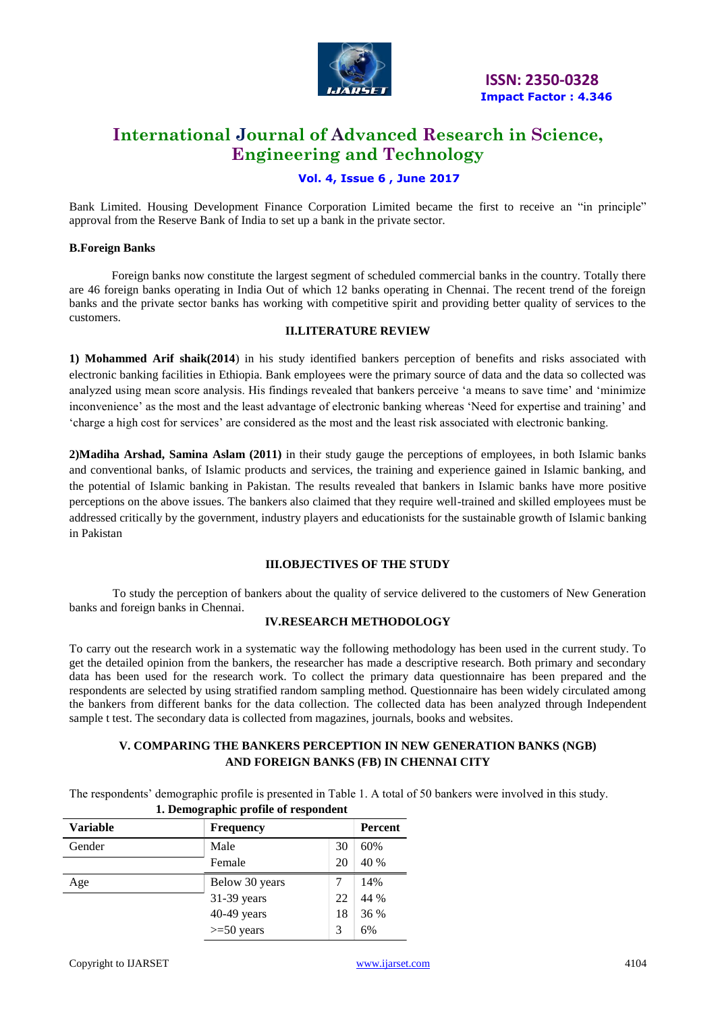

 **ISSN: 2350-0328 Impact Factor : 4.346**

# **International Journal of Advanced Research in Science, Engineering and Technology**

### **Vol. 4, Issue 6 , June 2017**

Bank Limited. Housing Development Finance Corporation Limited became the first to receive an "in principle" approval from the Reserve Bank of India to set up a bank in the private sector.

#### **B.Foreign Banks**

Foreign banks now constitute the largest segment of scheduled commercial banks in the country. Totally there are 46 foreign banks operating in India Out of which 12 banks operating in Chennai. The recent trend of the foreign banks and the private sector banks has working with competitive spirit and providing better quality of services to the customers.

#### **II.LITERATURE REVIEW**

**1) Mohammed Arif shaik(2014**) in his study identified bankers perception of benefits and risks associated with electronic banking facilities in Ethiopia. Bank employees were the primary source of data and the data so collected was analyzed using mean score analysis. His findings revealed that bankers perceive "a means to save time" and "minimize inconvenience' as the most and the least advantage of electronic banking whereas 'Need for expertise and training' and "charge a high cost for services" are considered as the most and the least risk associated with electronic banking.

**2)Madiha Arshad, Samina Aslam (2011)** in their study gauge the perceptions of employees, in both Islamic banks and conventional banks, of Islamic products and services, the training and experience gained in Islamic banking, and the potential of Islamic banking in Pakistan. The results revealed that bankers in Islamic banks have more positive perceptions on the above issues. The bankers also claimed that they require well-trained and skilled employees must be addressed critically by the government, industry players and educationists for the sustainable growth of Islamic banking in Pakistan

#### **III.OBJECTIVES OF THE STUDY**

To study the perception of bankers about the quality of service delivered to the customers of New Generation banks and foreign banks in Chennai.

#### **IV.RESEARCH METHODOLOGY**

To carry out the research work in a systematic way the following methodology has been used in the current study. To get the detailed opinion from the bankers, the researcher has made a descriptive research. Both primary and secondary data has been used for the research work. To collect the primary data questionnaire has been prepared and the respondents are selected by using stratified random sampling method. Questionnaire has been widely circulated among the bankers from different banks for the data collection. The collected data has been analyzed through Independent sample t test. The secondary data is collected from magazines, journals, books and websites.

### **V. COMPARING THE BANKERS PERCEPTION IN NEW GENERATION BANKS (NGB) AND FOREIGN BANKS (FB) IN CHENNAI CITY**

The respondents" demographic profile is presented in Table 1. A total of 50 bankers were involved in this study.

| <b>Variable</b> | <b>Frequency</b> | <b>Percent</b> |      |  |  |  |  |  |
|-----------------|------------------|----------------|------|--|--|--|--|--|
| Gender          | Male             | 30             | 60%  |  |  |  |  |  |
|                 | Female           | 20             | 40 % |  |  |  |  |  |
| Age             | Below 30 years   |                | 14%  |  |  |  |  |  |
|                 | 31-39 years      | 22             | 44 % |  |  |  |  |  |
|                 | 40-49 years      | 18             | 36 % |  |  |  |  |  |
|                 | $>= 50$ years    | 3              | 6%   |  |  |  |  |  |

#### **1. Demographic profile of respondent**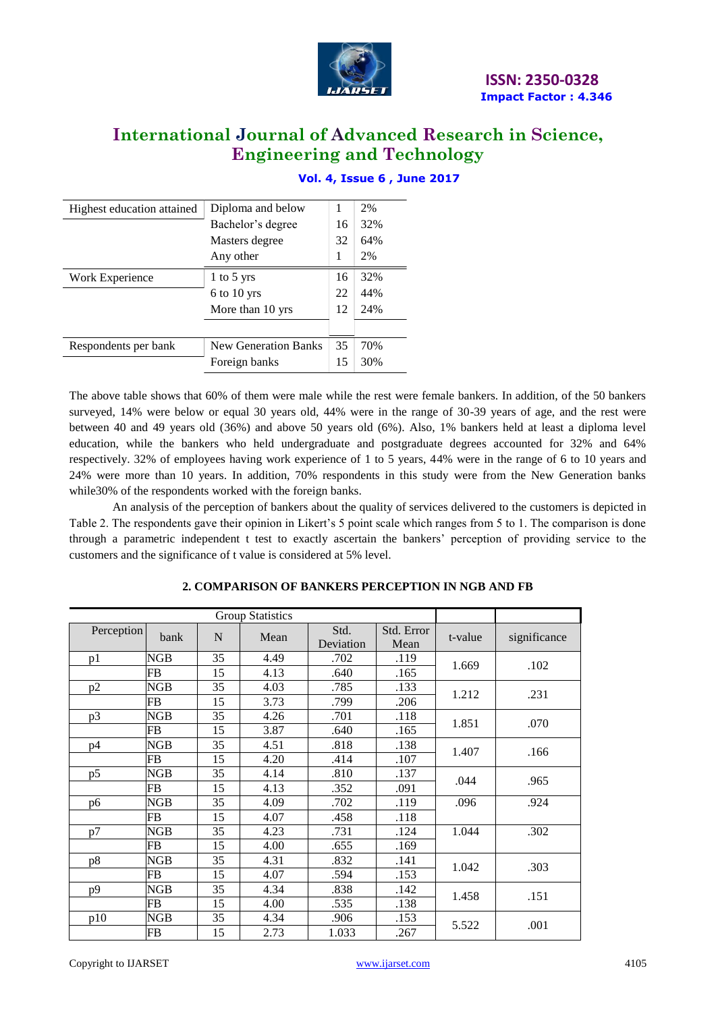

| Highest education attained | Diploma and below           | 1  | 2%  |
|----------------------------|-----------------------------|----|-----|
|                            | Bachelor's degree           | 16 | 32% |
|                            | Masters degree              | 32 | 64% |
|                            | Any other                   |    | 2%  |
| Work Experience            | 1 to 5 yrs                  | 16 | 32% |
|                            | $6$ to $10$ yrs             | 22 | 44% |
|                            | More than 10 yrs            | 12 | 24% |
|                            |                             |    |     |
| Respondents per bank       | <b>New Generation Banks</b> | 35 | 70% |
|                            | Foreign banks               | 15 | 30% |

## **Vol. 4, Issue 6 , June 2017**

The above table shows that 60% of them were male while the rest were female bankers. In addition, of the 50 bankers surveyed, 14% were below or equal 30 years old, 44% were in the range of 30-39 years of age, and the rest were between 40 and 49 years old (36%) and above 50 years old (6%). Also, 1% bankers held at least a diploma level education, while the bankers who held undergraduate and postgraduate degrees accounted for 32% and 64% respectively. 32% of employees having work experience of 1 to 5 years, 44% were in the range of 6 to 10 years and 24% were more than 10 years. In addition, 70% respondents in this study were from the New Generation banks while30% of the respondents worked with the foreign banks.

An analysis of the perception of bankers about the quality of services delivered to the customers is depicted in Table 2. The respondents gave their opinion in Likert's 5 point scale which ranges from 5 to 1. The comparison is done through a parametric independent t test to exactly ascertain the bankers" perception of providing service to the customers and the significance of t value is considered at 5% level.

| <b>Group Statistics</b> |            |    |      |                   |                    |         |              |
|-------------------------|------------|----|------|-------------------|--------------------|---------|--------------|
| Perception              | bank       | N  | Mean | Std.<br>Deviation | Std. Error<br>Mean | t-value | significance |
| p1                      | NGB        | 35 | 4.49 | .702              | .119               | 1.669   | .102         |
|                         | FB         | 15 | 4.13 | .640              | .165               |         |              |
| p2                      | NGB        | 35 | 4.03 | .785              | .133               | 1.212   | .231         |
|                         | <b>FB</b>  | 15 | 3.73 | .799              | .206               |         |              |
| p3                      | NGB        | 35 | 4.26 | .701              | .118               | 1.851   | .070         |
|                         | <b>FB</b>  | 15 | 3.87 | .640              | .165               |         |              |
| p4                      | NGB        | 35 | 4.51 | .818              | .138               | 1.407   | .166         |
|                         | FB         | 15 | 4.20 | .414              | .107               |         |              |
| p5                      | <b>NGB</b> | 35 | 4.14 | .810              | .137               | .044    | .965         |
|                         | FB         | 15 | 4.13 | .352              | .091               |         |              |
| p6                      | NGB        | 35 | 4.09 | .702              | .119               | .096    | .924         |
|                         | <b>FB</b>  | 15 | 4.07 | .458              | .118               |         |              |
| p7                      | NGB        | 35 | 4.23 | .731              | .124               | 1.044   | .302         |
|                         | <b>FB</b>  | 15 | 4.00 | .655              | .169               |         |              |
| p8                      | <b>NGB</b> | 35 | 4.31 | .832              | .141               | 1.042   | .303         |
|                         | <b>FB</b>  | 15 | 4.07 | .594              | .153               |         |              |
| p9                      | <b>NGB</b> | 35 | 4.34 | .838              | .142               |         |              |
|                         | <b>FB</b>  | 15 | 4.00 | .535              | .138               | 1.458   | .151         |
| p10                     | NGB        | 35 | 4.34 | .906              | .153               |         | .001         |
|                         | <b>FB</b>  | 15 | 2.73 | 1.033             | .267               | 5.522   |              |

#### **2. COMPARISON OF BANKERS PERCEPTION IN NGB AND FB**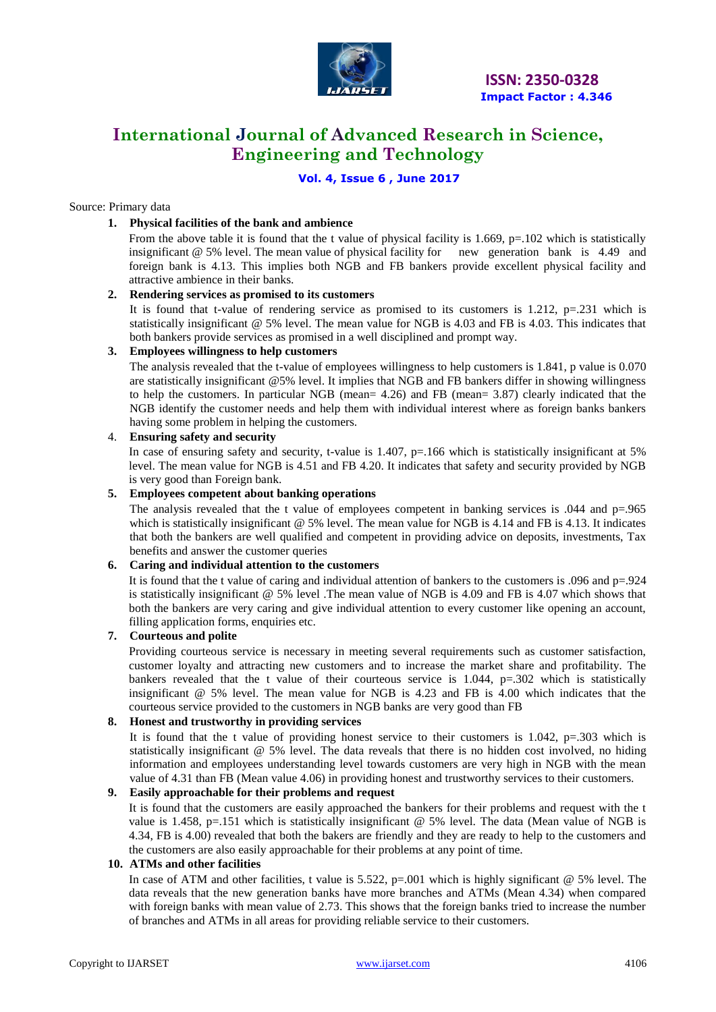

### **Vol. 4, Issue 6 , June 2017**

#### Source: Primary data

#### **1. Physical facilities of the bank and ambience**

From the above table it is found that the t value of physical facility is 1.669, p=.102 which is statistically insignificant @ 5% level. The mean value of physical facility for new generation bank is 4.49 and foreign bank is 4.13. This implies both NGB and FB bankers provide excellent physical facility and attractive ambience in their banks.

#### **2. Rendering services as promised to its customers**

It is found that t-value of rendering service as promised to its customers is 1.212,  $p=.231$  which is statistically insignificant @ 5% level. The mean value for NGB is 4.03 and FB is 4.03. This indicates that both bankers provide services as promised in a well disciplined and prompt way.

#### **3. Employees willingness to help customers**

The analysis revealed that the t-value of employees willingness to help customers is 1.841, p value is 0.070 are statistically insignificant @5% level. It implies that NGB and FB bankers differ in showing willingness to help the customers. In particular NGB (mean= 4.26) and FB (mean= 3.87) clearly indicated that the NGB identify the customer needs and help them with individual interest where as foreign banks bankers having some problem in helping the customers.

#### 4. **Ensuring safety and security**

In case of ensuring safety and security, t-value is 1.407,  $p=166$  which is statistically insignificant at 5% level. The mean value for NGB is 4.51 and FB 4.20. It indicates that safety and security provided by NGB is very good than Foreign bank.

#### **5. Employees competent about banking operations**

The analysis revealed that the t value of employees competent in banking services is  $.044$  and  $p=0.965$ which is statistically insignificant @ 5% level. The mean value for NGB is 4.14 and FB is 4.13. It indicates that both the bankers are well qualified and competent in providing advice on deposits, investments, Tax benefits and answer the customer queries

#### **6. Caring and individual attention to the customers**

It is found that the t value of caring and individual attention of bankers to the customers is .096 and p=.924 is statistically insignificant @ 5% level .The mean value of NGB is 4.09 and FB is 4.07 which shows that both the bankers are very caring and give individual attention to every customer like opening an account, filling application forms, enquiries etc.

#### **7. Courteous and polite**

Providing courteous service is necessary in meeting several requirements such as customer satisfaction, customer loyalty and attracting new customers and to increase the market share and profitability. The bankers revealed that the t value of their courteous service is 1.044, p=.302 which is statistically insignificant @ 5% level. The mean value for NGB is 4.23 and FB is 4.00 which indicates that the courteous service provided to the customers in NGB banks are very good than FB

### **8. Honest and trustworthy in providing services**

It is found that the t value of providing honest service to their customers is  $1.042$ , p=.303 which is statistically insignificant @ 5% level. The data reveals that there is no hidden cost involved, no hiding information and employees understanding level towards customers are very high in NGB with the mean value of 4.31 than FB (Mean value 4.06) in providing honest and trustworthy services to their customers.

#### **9. Easily approachable for their problems and request**

It is found that the customers are easily approached the bankers for their problems and request with the t value is 1.458, p=.151 which is statistically insignificant  $\omega$  5% level. The data (Mean value of NGB is 4.34, FB is 4.00) revealed that both the bakers are friendly and they are ready to help to the customers and the customers are also easily approachable for their problems at any point of time.

#### **10. ATMs and other facilities**

In case of ATM and other facilities, t value is  $5.522$ ,  $p=0.001$  which is highly significant @ 5% level. The data reveals that the new generation banks have more branches and ATMs (Mean 4.34) when compared with foreign banks with mean value of 2.73. This shows that the foreign banks tried to increase the number of branches and ATMs in all areas for providing reliable service to their customers.